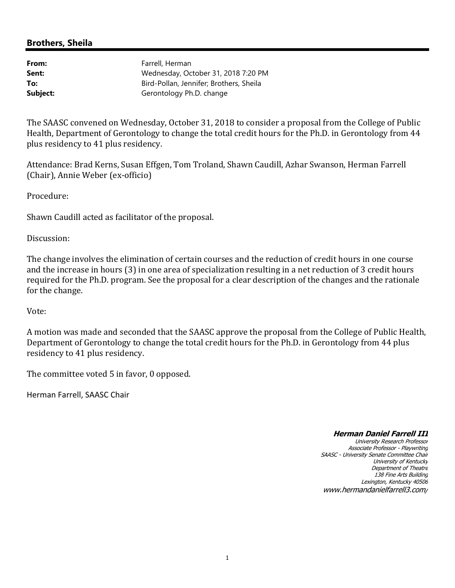# **Brothers, Sheila**

| From:    | Farrell, Herman                         |
|----------|-----------------------------------------|
| Sent:    | Wednesday, October 31, 2018 7:20 PM     |
| To:      | Bird-Pollan, Jennifer; Brothers, Sheila |
| Subject: | Gerontology Ph.D. change                |

The SAASC convened on Wednesday, October 31, 2018 to consider a proposal from the College of Public Health, Department of Gerontology to change the total credit hours for the Ph.D. in Gerontology from 44 plus residency to 41 plus residency.

Attendance: Brad Kerns, Susan Effgen, Tom Troland, Shawn Caudill, Azhar Swanson, Herman Farrell (Chair), Annie Weber (ex-officio)

Procedure:

Shawn Caudill acted as facilitator of the proposal.

Discussion:

The change involves the elimination of certain courses and the reduction of credit hours in one course and the increase in hours (3) in one area of specialization resulting in a net reduction of 3 credit hours required for the Ph.D. program. See the proposal for a clear description of the changes and the rationale for the change.

Vote:

A motion was made and seconded that the SAASC approve the proposal from the College of Public Health, Department of Gerontology to change the total credit hours for the Ph.D. in Gerontology from 44 plus residency to 41 plus residency.

The committee voted 5 in favor, 0 opposed.

Herman Farrell, SAASC Chair

### **Herman Daniel Farrell III**

University Research Professor Associate Professor - Playwriting SAASC - University Senate Committee Chair University of Kentucky Department of Theatre 138 Fine Arts Building Lexington, Kentucky 40506 www.hermandanielfarrell3.com/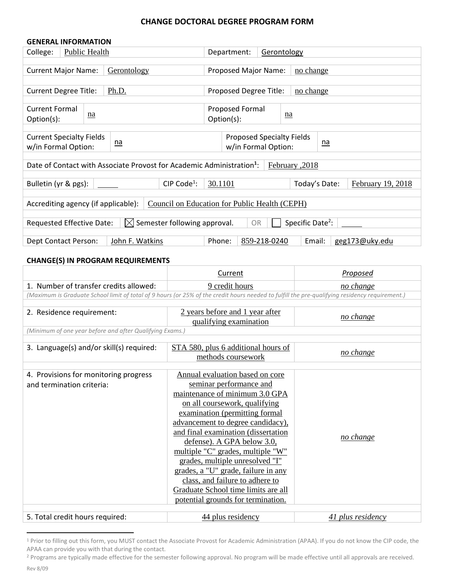#### **CHANGE DOCTORAL DEGREE PROGRAM FORM**

| <b>GENERAL INFORMATION</b>                                                                                         |           |                         |                            |                                  |  |                                    |  |
|--------------------------------------------------------------------------------------------------------------------|-----------|-------------------------|----------------------------|----------------------------------|--|------------------------------------|--|
| Public Health<br>College:                                                                                          |           |                         | Department:<br>Gerontology |                                  |  |                                    |  |
|                                                                                                                    |           |                         |                            |                                  |  |                                    |  |
| <b>Current Major Name:</b>                                                                                         |           | Gerontology             |                            | Proposed Major Name:             |  | no change                          |  |
|                                                                                                                    |           |                         |                            |                                  |  |                                    |  |
| <b>Current Degree Title:</b>                                                                                       |           | Ph.D.                   |                            | Proposed Degree Title:           |  | <u>no change</u>                   |  |
|                                                                                                                    |           |                         |                            |                                  |  |                                    |  |
| <b>Current Formal</b>                                                                                              |           |                         |                            | <b>Proposed Formal</b>           |  |                                    |  |
| Option(s):                                                                                                         | <u>na</u> |                         |                            | Option(s):                       |  | <u>na</u>                          |  |
|                                                                                                                    |           |                         |                            |                                  |  |                                    |  |
| <b>Current Specialty Fields</b>                                                                                    |           |                         |                            | <b>Proposed Specialty Fields</b> |  | <u>na</u>                          |  |
| $n\underline{a}$<br>w/in Formal Option:                                                                            |           |                         | w/in Formal Option:        |                                  |  |                                    |  |
|                                                                                                                    |           |                         |                            |                                  |  |                                    |  |
| Date of Contact with Associate Provost for Academic Administration <sup>1</sup> :<br>Eebruary , 2018               |           |                         |                            |                                  |  |                                    |  |
|                                                                                                                    |           |                         |                            |                                  |  |                                    |  |
| Bulletin (yr & pgs):                                                                                               |           | CIP Code <sup>1</sup> : | 30.1101                    |                                  |  | February 19, 2018<br>Today's Date: |  |
|                                                                                                                    |           |                         |                            |                                  |  |                                    |  |
| Council on Education for Public Health (CEPH)<br>Accrediting agency (if applicable):                               |           |                         |                            |                                  |  |                                    |  |
|                                                                                                                    |           |                         |                            |                                  |  |                                    |  |
| Specific Date <sup>2</sup> :<br>$\boxtimes$ Semester following approval.<br><b>OR</b><br>Requested Effective Date: |           |                         |                            |                                  |  |                                    |  |
| Phone:<br>John F. Watkins<br>859-218-0240<br>Email:<br>geg173@uky.edu                                              |           |                         |                            |                                  |  |                                    |  |
| Dept Contact Person:                                                                                               |           |                         |                            |                                  |  |                                    |  |

#### **CHANGE(S) IN PROGRAM REQUIREMENTS**

|                                                                                                                                                | Current                                                   | Proposed          |  |  |  |  |
|------------------------------------------------------------------------------------------------------------------------------------------------|-----------------------------------------------------------|-------------------|--|--|--|--|
| 1. Number of transfer credits allowed:                                                                                                         | 9 credit hours                                            | no change         |  |  |  |  |
| (Maximum is Graduate School limit of total of 9 hours (or 25% of the credit hours needed to fulfill the pre-qualifying residency requirement.) |                                                           |                   |  |  |  |  |
|                                                                                                                                                |                                                           |                   |  |  |  |  |
| 2. Residence requirement:                                                                                                                      | 2 years before and 1 year after<br>qualifying examination | no change         |  |  |  |  |
|                                                                                                                                                | (Minimum of one year before and after Qualifying Exams.)  |                   |  |  |  |  |
|                                                                                                                                                |                                                           |                   |  |  |  |  |
| 3. Language(s) and/or skill(s) required:                                                                                                       | STA 580, plus 6 additional hours of<br>methods coursework | no change         |  |  |  |  |
| 4. Provisions for monitoring progress                                                                                                          | Annual evaluation based on core                           |                   |  |  |  |  |
| and termination criteria:                                                                                                                      | seminar performance and                                   |                   |  |  |  |  |
|                                                                                                                                                | maintenance of minimum 3.0 GPA                            |                   |  |  |  |  |
|                                                                                                                                                | on all coursework, qualifying                             |                   |  |  |  |  |
|                                                                                                                                                | examination (permitting formal                            |                   |  |  |  |  |
|                                                                                                                                                | advancement to degree candidacy),                         |                   |  |  |  |  |
|                                                                                                                                                | and final examination (dissertation                       |                   |  |  |  |  |
|                                                                                                                                                | defense). A GPA below 3.0,                                | no change         |  |  |  |  |
|                                                                                                                                                | multiple "C" grades, multiple "W"                         |                   |  |  |  |  |
|                                                                                                                                                | grades, multiple unresolved "I"                           |                   |  |  |  |  |
|                                                                                                                                                | grades, a "U" grade, failure in any                       |                   |  |  |  |  |
|                                                                                                                                                | class, and failure to adhere to                           |                   |  |  |  |  |
|                                                                                                                                                | Graduate School time limits are all                       |                   |  |  |  |  |
|                                                                                                                                                | potential grounds for termination.                        |                   |  |  |  |  |
| 5. Total credit hours required:                                                                                                                | 44 plus residency                                         | 41 plus residency |  |  |  |  |

<sup>1</sup> Prior to filling out this form, you MUST contact the Associate Provost for Academic Administration (APAA). If you do not know the CIP code, the APAA can provide you with that during the contact.

 $\overline{a}$ 

<sup>&</sup>lt;sup>2</sup> Programs are typically made effective for the semester following approval. No program will be made effective until all approvals are received.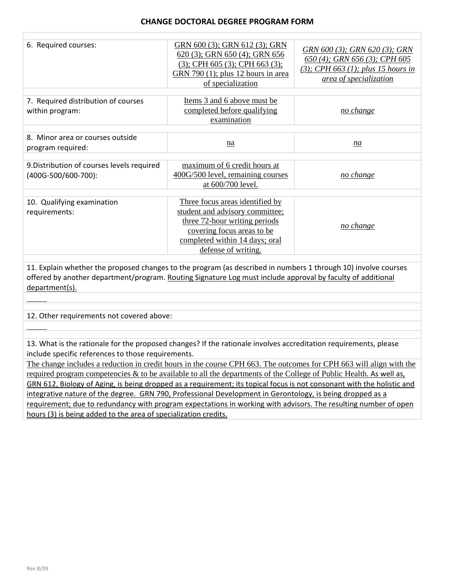| 6. Required courses:                                                                                                                                                                                                                            | GRN 600 (3); GRN 612 (3); GRN<br>620 (3); GRN 650 (4); GRN 656<br>$(3)$ ; CPH 605 $(3)$ ; CPH 663 $(3)$ ;<br>GRN 790 (1); plus 12 hours in area<br>of specialization                       | GRN 600 (3); GRN 620 (3); GRN<br>650 (4); GRN 656 (3); CPH 605<br>$(3)$ ; CPH 663 $(1)$ ; plus 15 hours in<br>area of specialization |  |  |
|-------------------------------------------------------------------------------------------------------------------------------------------------------------------------------------------------------------------------------------------------|--------------------------------------------------------------------------------------------------------------------------------------------------------------------------------------------|--------------------------------------------------------------------------------------------------------------------------------------|--|--|
| 7. Required distribution of courses<br>within program:                                                                                                                                                                                          | Items 3 and 6 above must be<br>completed before qualifying<br>examination                                                                                                                  | no change                                                                                                                            |  |  |
| 8. Minor area or courses outside<br>program required:                                                                                                                                                                                           | na                                                                                                                                                                                         | na                                                                                                                                   |  |  |
| 9. Distribution of courses levels required<br>(400G-500/600-700):                                                                                                                                                                               | maximum of 6 credit hours at<br>400G/500 level, remaining courses<br>at 600/700 level.                                                                                                     | no change                                                                                                                            |  |  |
| 10. Qualifying examination<br>requirements:                                                                                                                                                                                                     | Three focus areas identified by<br>student and advisory committee;<br>three 72-hour writing periods<br>covering focus areas to be<br>completed within 14 days; oral<br>defense of writing. | no change                                                                                                                            |  |  |
| 11. Explain whether the proposed changes to the program (as described in numbers 1 through 10) involve courses<br>offered by another department/program. Routing Signature Log must include approval by faculty of additional<br>department(s). |                                                                                                                                                                                            |                                                                                                                                      |  |  |
| 12. Other requirements not covered above:                                                                                                                                                                                                       |                                                                                                                                                                                            |                                                                                                                                      |  |  |

13. What is the rationale for the proposed changes? If the rationale involves accreditation requirements, please include specific references to those requirements.

The change includes a reduction in credit hours in the course CPH 663. The outcomes for CPH 663 will align with the required program competencies & to be available to all the departments of the College of Public Health. As well as, GRN 612, Biology of Aging, is being dropped as a requirement; its topical focus is not consonant with the holistic and integrative nature of the degree. GRN 790, Professional Development in Gerontology, is being dropped as a requirement; due to redundancy with program expectations in working with advisors. The resulting number of open hours (3) is being added to the area of specialization credits.